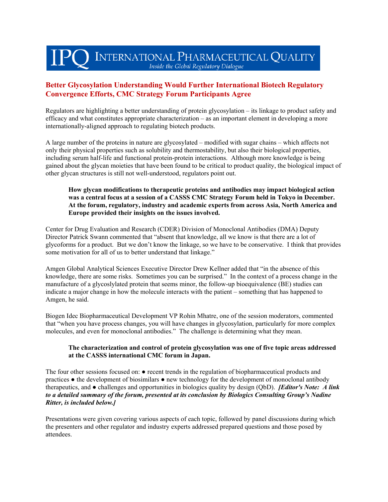# INTERNATIONAL PHARMACEUTICAL QUALITY Inside the Global Regulatory Dialogue

# **Better Glycosylation Understanding Would Further International Biotech Regulatory Convergence Efforts, CMC Strategy Forum Participants Agree**

Regulators are highlighting a better understanding of protein glycosylation – its linkage to product safety and efficacy and what constitutes appropriate characterization – as an important element in developing a more internationally-aligned approach to regulating biotech products.

A large number of the proteins in nature are glycosylated – modified with sugar chains – which affects not only their physical properties such as solubility and thermostability, but also their biological properties, including serum half-life and functional protein-protein interactions. Although more knowledge is being gained about the glycan moieties that have been found to be critical to product quality, the biological impact of other glycan structures is still not well-understood, regulators point out.

#### **How glycan modifications to therapeutic proteins and antibodies may impact biological action was a central focus at a session of a CASSS CMC Strategy Forum held in Tokyo in December. At the forum, regulatory, industry and academic experts from across Asia, North America and Europe provided their insights on the issues involved.**

Center for Drug Evaluation and Research (CDER) Division of Monoclonal Antibodies (DMA) Deputy Director Patrick Swann commented that "absent that knowledge, all we know is that there are a lot of glycoforms for a product. But we don't know the linkage, so we have to be conservative. I think that provides some motivation for all of us to better understand that linkage."

Amgen Global Analytical Sciences Executive Director Drew Kellner added that "in the absence of this knowledge, there are some risks. Sometimes you can be surprised." In the context of a process change in the manufacture of a glycoslylated protein that seems minor, the follow-up bioequivalence (BE) studies can indicate a major change in how the molecule interacts with the patient – something that has happened to Amgen, he said.

Biogen Idec Biopharmaceutical Development VP Rohin Mhatre, one of the session moderators, commented that "when you have process changes, you will have changes in glycosylation, particularly for more complex molecules, and even for monoclonal antibodies." The challenge is determining what they mean.

# **The characterization and control of protein glycosylation was one of five topic areas addressed at the CASSS international CMC forum in Japan.**

The four other sessions focused on: ● recent trends in the regulation of biopharmaceutical products and practices ● the development of biosimilars ● new technology for the development of monoclonal antibody therapeutics, and ● challenges and opportunities in biologics quality by design (QbD). *[Editor's Note: A link to a detailed summary of the forum, presented at its conclusion by Biologics Consulting Group's Nadine Ritter, is included below.]*

Presentations were given covering various aspects of each topic, followed by panel discussions during which the presenters and other regulator and industry experts addressed prepared questions and those posed by attendees.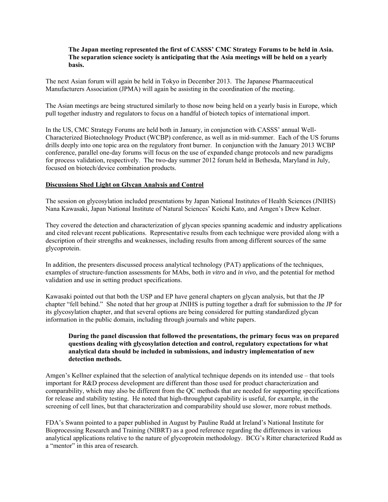#### **The Japan meeting represented the first of CASSS' CMC Strategy Forums to be held in Asia. The separation science society is anticipating that the Asia meetings will be held on a yearly basis.**

The next Asian forum will again be held in Tokyo in December 2013. The Japanese Pharmaceutical Manufacturers Association (JPMA) will again be assisting in the coordination of the meeting.

The Asian meetings are being structured similarly to those now being held on a yearly basis in Europe, which pull together industry and regulators to focus on a handful of biotech topics of international import.

In the US, CMC Strategy Forums are held both in January, in conjunction with CASSS' annual Well-Characterized Biotechnology Product (WCBP) conference, as well as in mid-summer. Each of the US forums drills deeply into one topic area on the regulatory front burner. In conjunction with the January 2013 WCBP conference, parallel one-day forums will focus on the use of expanded change protocols and new paradigms for process validation, respectively. The two-day summer 2012 forum held in Bethesda, Maryland in July, focused on biotech/device combination products.

### **Discussions Shed Light on Glycan Analysis and Control**

The session on glycosylation included presentations by Japan National Institutes of Health Sciences (JNIHS) Nana Kawasaki, Japan National Institute of Natural Sciences' Koichi Kato, and Amgen's Drew Kelner.

They covered the detection and characterization of glycan species spanning academic and industry applications and cited relevant recent publications. Representative results from each technique were provided along with a description of their strengths and weaknesses, including results from among different sources of the same glycoprotein.

In addition, the presenters discussed process analytical technology (PAT) applications of the techniques, examples of structure-function assessments for MAbs, both *in vitro* and *in vivo*, and the potential for method validation and use in setting product specifications.

Kawasaki pointed out that both the USP and EP have general chapters on glycan analysis, but that the JP chapter "fell behind." She noted that her group at JNIHS is putting together a draft for submission to the JP for its glycosylation chapter, and that several options are being considered for putting standardized glycan information in the public domain, including through journals and white papers.

#### **During the panel discussion that followed the presentations, the primary focus was on prepared questions dealing with glycosylation detection and control, regulatory expectations for what analytical data should be included in submissions, and industry implementation of new detection methods.**

Amgen's Kellner explained that the selection of analytical technique depends on its intended use – that tools important for R&D process development are different than those used for product characterization and comparability, which may also be different from the QC methods that are needed for supporting specifications for release and stability testing. He noted that high-throughput capability is useful, for example, in the screening of cell lines, but that characterization and comparability should use slower, more robust methods.

FDA's Swann pointed to a paper published in August by Pauline Rudd at Ireland's National Institute for Bioprocessing Research and Training (NIBRT) as a good reference regarding the differences in various analytical applications relative to the nature of glycoprotein methodology. BCG's Ritter characterized Rudd as a "mentor" in this area of research.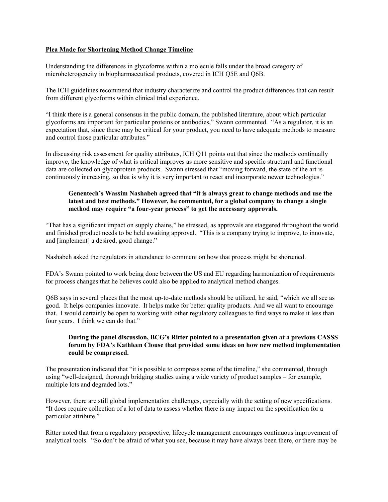#### **Plea Made for Shortening Method Change Timeline**

Understanding the differences in glycoforms within a molecule falls under the broad category of microheterogeneity in biopharmaceutical products, covered in ICH Q5E and Q6B.

The ICH guidelines recommend that industry characterize and control the product differences that can result from different glycoforms within clinical trial experience.

"I think there is a general consensus in the public domain, the published literature, about which particular glycoforms are important for particular proteins or antibodies," Swann commented. "As a regulator, it is an expectation that, since these may be critical for your product, you need to have adequate methods to measure and control those particular attributes."

In discussing risk assessment for quality attributes, ICH Q11 points out that since the methods continually improve, the knowledge of what is critical improves as more sensitive and specific structural and functional data are collected on glycoprotein products. Swann stressed that "moving forward, the state of the art is continuously increasing, so that is why it is very important to react and incorporate newer technologies."

#### **Genentech's Wassim Nashabeh agreed that "it is always great to change methods and use the latest and best methods." However, he commented, for a global company to change a single method may require "a four-year process" to get the necessary approvals.**

"That has a significant impact on supply chains," he stressed, as approvals are staggered throughout the world and finished product needs to be held awaiting approval. "This is a company trying to improve, to innovate, and [implement] a desired, good change."

Nashabeh asked the regulators in attendance to comment on how that process might be shortened.

FDA's Swann pointed to work being done between the US and EU regarding harmonization of requirements for process changes that he believes could also be applied to analytical method changes.

Q6B says in several places that the most up-to-date methods should be utilized, he said, "which we all see as good. It helps companies innovate. It helps make for better quality products. And we all want to encourage that. I would certainly be open to working with other regulatory colleagues to find ways to make it less than four years. I think we can do that."

#### **During the panel discussion, BCG's Ritter pointed to a presentation given at a previous CASSS forum by FDA's Kathleen Clouse that provided some ideas on how new method implementation could be compressed.**

The presentation indicated that "it is possible to compress some of the timeline," she commented, through using "well-designed, thorough bridging studies using a wide variety of product samples – for example, multiple lots and degraded lots."

However, there are still global implementation challenges, especially with the setting of new specifications. "It does require collection of a lot of data to assess whether there is any impact on the specification for a particular attribute."

Ritter noted that from a regulatory perspective, lifecycle management encourages continuous improvement of analytical tools. "So don't be afraid of what you see, because it may have always been there, or there may be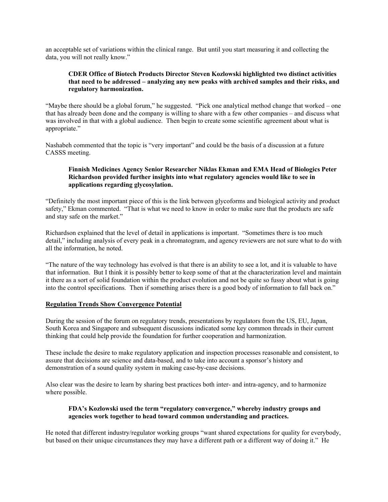an acceptable set of variations within the clinical range. But until you start measuring it and collecting the data, you will not really know."

# **CDER Office of Biotech Products Director Steven Kozlowski highlighted two distinct activities that need to be addressed – analyzing any new peaks with archived samples and their risks, and regulatory harmonization.**

"Maybe there should be a global forum," he suggested. "Pick one analytical method change that worked – one that has already been done and the company is willing to share with a few other companies – and discuss what was involved in that with a global audience. Then begin to create some scientific agreement about what is appropriate."

Nashabeh commented that the topic is "very important" and could be the basis of a discussion at a future CASSS meeting.

# **Finnish Medicines Agency Senior Researcher Niklas Ekman and EMA Head of Biologics Peter Richardson provided further insights into what regulatory agencies would like to see in applications regarding glycosylation.**

"Definitely the most important piece of this is the link between glycoforms and biological activity and product safety," Ekman commented. "That is what we need to know in order to make sure that the products are safe and stay safe on the market."

Richardson explained that the level of detail in applications is important. "Sometimes there is too much detail," including analysis of every peak in a chromatogram, and agency reviewers are not sure what to do with all the information, he noted.

"The nature of the way technology has evolved is that there is an ability to see a lot, and it is valuable to have that information. But I think it is possibly better to keep some of that at the characterization level and maintain it there as a sort of solid foundation within the product evolution and not be quite so fussy about what is going into the control specifications. Then if something arises there is a good body of information to fall back on."

# **Regulation Trends Show Convergence Potential**

During the session of the forum on regulatory trends, presentations by regulators from the US, EU, Japan, South Korea and Singapore and subsequent discussions indicated some key common threads in their current thinking that could help provide the foundation for further cooperation and harmonization.

These include the desire to make regulatory application and inspection processes reasonable and consistent, to assure that decisions are science and data-based, and to take into account a sponsor's history and demonstration of a sound quality system in making case-by-case decisions.

Also clear was the desire to learn by sharing best practices both inter- and intra-agency, and to harmonize where possible.

#### **FDA's Kozlowski used the term "regulatory convergence," whereby industry groups and agencies work together to head toward common understanding and practices.**

He noted that different industry/regulator working groups "want shared expectations for quality for everybody, but based on their unique circumstances they may have a different path or a different way of doing it." He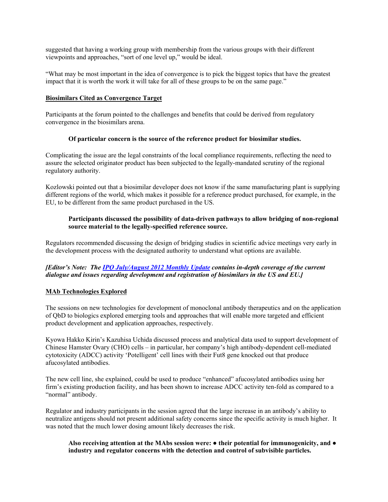suggested that having a working group with membership from the various groups with their different viewpoints and approaches, "sort of one level up," would be ideal.

"What may be most important in the idea of convergence is to pick the biggest topics that have the greatest impact that it is worth the work it will take for all of these groups to be on the same page."

#### **Biosimilars Cited as Convergence Target**

Participants at the forum pointed to the challenges and benefits that could be derived from regulatory convergence in the biosimilars arena.

#### **Of particular concern is the source of the reference product for biosimilar studies.**

Complicating the issue are the legal constraints of the local compliance requirements, reflecting the need to assure the selected originator product has been subjected to the legally-mandated scrutiny of the regional regulatory authority.

Kozlowski pointed out that a biosimilar developer does not know if the same manufacturing plant is supplying different regions of the world, which makes it possible for a reference product purchased, for example, in the EU, to be different from the same product purchased in the US.

# **Participants discussed the possibility of data-driven pathways to allow bridging of non-regional source material to the legally-specified reference source.**

Regulators recommended discussing the design of bridging studies in scientific advice meetings very early in the development process with the designated authority to understand what options are available.

# *[Editor's Note: The [IPQ July/August 2012 Monthly Update](http://www.ipqpubs.com/issues/ipq-monthly-update-julyaugust-2012/) contains in-depth coverage of the current dialogue and issues regarding development and registration of biosimilars in the US and EU.]*

# **MAb Technologies Explored**

The sessions on new technologies for development of monoclonal antibody therapeutics and on the application of QbD to biologics explored emerging tools and approaches that will enable more targeted and efficient product development and application approaches, respectively.

Kyowa Hakko Kirin's Kazuhisa Uchida discussed process and analytical data used to support development of Chinese Hamster Ovary (CHO) cells – in particular, her company's high antibody-dependent cell-mediated cytotoxicity (ADCC) activity 'Potelligent' cell lines with their Fut8 gene knocked out that produce afucosylated antibodies.

The new cell line, she explained, could be used to produce "enhanced" afucosylated antibodies using her firm's existing production facility, and has been shown to increase ADCC activity ten-fold as compared to a "normal" antibody.

Regulator and industry participants in the session agreed that the large increase in an antibody's ability to neutralize antigens should not present additional safety concerns since the specific activity is much higher. It was noted that the much lower dosing amount likely decreases the risk.

#### **Also receiving attention at the MAbs session were: ● their potential for immunogenicity, and ● industry and regulator concerns with the detection and control of subvisible particles.**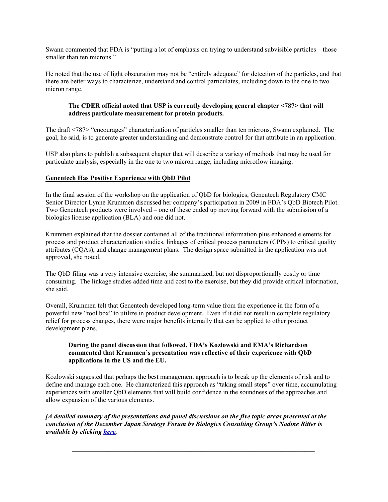Swann commented that FDA is "putting a lot of emphasis on trying to understand subvisible particles – those smaller than ten microns."

He noted that the use of light obscuration may not be "entirely adequate" for detection of the particles, and that there are better ways to characterize, understand and control particulates, including down to the one to two micron range.

# **The CDER official noted that USP is currently developing general chapter <787> that will address particulate measurement for protein products.**

The draft <787> "encourages" characterization of particles smaller than ten microns, Swann explained. The goal, he said, is to generate greater understanding and demonstrate control for that attribute in an application.

USP also plans to publish a subsequent chapter that will describe a variety of methods that may be used for particulate analysis, especially in the one to two micron range, including microflow imaging.

#### **Genentech Has Positive Experience with QbD Pilot**

In the final session of the workshop on the application of QbD for biologics, Genentech Regulatory CMC Senior Director Lynne Krummen discussed her company's participation in 2009 in FDA's QbD Biotech Pilot. Two Genentech products were involved – one of these ended up moving forward with the submission of a biologics license application (BLA) and one did not.

Krummen explained that the dossier contained all of the traditional information plus enhanced elements for process and product characterization studies, linkages of critical process parameters (CPPs) to critical quality attributes (CQAs), and change management plans. The design space submitted in the application was not approved, she noted.

The QbD filing was a very intensive exercise, she summarized, but not disproportionally costly or time consuming. The linkage studies added time and cost to the exercise, but they did provide critical information, she said.

Overall, Krummen felt that Genentech developed long-term value from the experience in the form of a powerful new "tool box" to utilize in product development. Even if it did not result in complete regulatory relief for process changes, there were major benefits internally that can be applied to other product development plans.

# **During the panel discussion that followed, FDA's Kozlowski and EMA's Richardson commented that Krummen's presentation was reflective of their experience with QbD applications in the US and the EU.**

Kozlowski suggested that perhaps the best management approach is to break up the elements of risk and to define and manage each one. He characterized this approach as "taking small steps" over time, accumulating experiences with smaller QbD elements that will build confidence in the soundness of the approaches and allow expansion of the various elements.

*[A detailed summary of the presentations and panel discussions on the five topic areas presented at the conclusion of the December Japan Strategy Forum by Biologics Consulting Group's Nadine Ritter is available by clicking here.* 

*\_\_\_\_\_\_\_\_\_\_\_\_\_\_\_\_\_\_\_\_\_\_\_\_\_\_\_\_\_\_\_\_\_\_\_\_\_\_\_\_\_\_\_\_\_\_\_\_\_\_\_\_\_\_\_\_\_\_\_\_\_\_\_\_\_\_\_\_\_\_\_\_\_*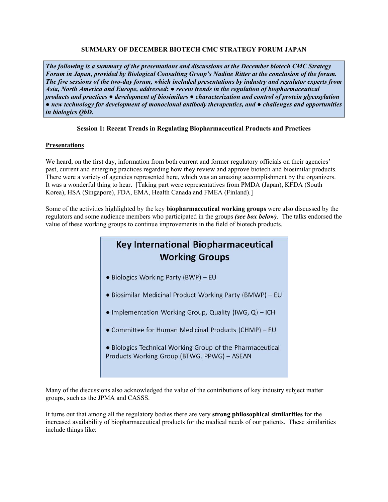# **SUMMARY OF DECEMBER BIOTECH CMC STRATEGY FORUM JAPAN**

*The following is a summary of the presentations and discussions at the December biotech CMC Strategy Forum in Japan, provided by Biological Consulting Group's Nadine Ritter at the conclusion of the forum. The five sessions of the two-day forum, which included presentations by industry and regulator experts from Asia, North America and Europe, addressed***:** *● recent trends in the regulation of biopharmaceutical products and practices ● development of biosimilars ● characterization and control of protein glycosylation ● new technology for development of monoclonal antibody therapeutics, and ● challenges and opportunities in biologics QbD.*

# **Session 1: Recent Trends in Regulating Biopharmaceutical Products and Practices**

# **Presentations**

We heard, on the first day, information from both current and former regulatory officials on their agencies' past, current and emerging practices regarding how they review and approve biotech and biosimilar products. There were a variety of agencies represented here, which was an amazing accomplishment by the organizers. It was a wonderful thing to hear. [Taking part were representatives from PMDA (Japan), KFDA (South Korea), HSA (Singapore), FDA, EMA, Health Canada and FMEA (Finland).]

Some of the activities highlighted by the key **biopharmaceutical working groups** were also discussed by the regulators and some audience members who participated in the groups *(see box below)*. The talks endorsed the value of these working groups to continue improvements in the field of biotech products.

# **Key International Biopharmaceutical Working Groups**

- Biologics Working Party (BWP) EU
- Biosimilar Medicinal Product Working Party (BMWP) EU
- $\bullet$  Implementation Working Group, Quality (IWG, Q) ICH
- Committee for Human Medicinal Products (CHMP) EU
- . Biologics Technical Working Group of the Pharmaceutical Products Working Group (BTWG, PPWG) - ASEAN

Many of the discussions also acknowledged the value of the contributions of key industry subject matter groups, such as the JPMA and CASSS.

It turns out that among all the regulatory bodies there are very **strong philosophical similarities** for the increased availability of biopharmaceutical products for the medical needs of our patients. These similarities include things like: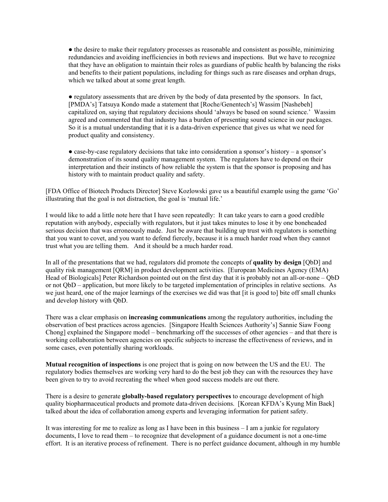● the desire to make their regulatory processes as reasonable and consistent as possible, minimizing redundancies and avoiding inefficiencies in both reviews and inspections. But we have to recognize that they have an obligation to maintain their roles as guardians of public health by balancing the risks and benefits to their patient populations, including for things such as rare diseases and orphan drugs, which we talked about at some great length.

● regulatory assessments that are driven by the body of data presented by the sponsors. In fact, [PMDA's] Tatsuya Kondo made a statement that [Roche/Genentech's] Wassim [Nashebeh] capitalized on, saying that regulatory decisions should 'always be based on sound science.' Wassim agreed and commented that that industry has a burden of presenting sound science in our packages. So it is a mutual understanding that it is a data-driven experience that gives us what we need for product quality and consistency.

● case-by-case regulatory decisions that take into consideration a sponsor's history – a sponsor's demonstration of its sound quality management system. The regulators have to depend on their interpretation and their instincts of how reliable the system is that the sponsor is proposing and has history with to maintain product quality and safety.

[FDA Office of Biotech Products Director] Steve Kozlowski gave us a beautiful example using the game 'Go' illustrating that the goal is not distraction, the goal is 'mutual life.'

I would like to add a little note here that I have seen repeatedly: It can take years to earn a good credible reputation with anybody, especially with regulators, but it just takes minutes to lose it by one boneheaded serious decision that was erroneously made. Just be aware that building up trust with regulators is something that you want to covet, and you want to defend fiercely, because it is a much harder road when they cannot trust what you are telling them. And it should be a much harder road.

In all of the presentations that we had, regulators did promote the concepts of **quality by design** [QbD] and quality risk management [QRM] in product development activities. [European Medicines Agency (EMA) Head of Biologicals] Peter Richardson pointed out on the first day that it is probably not an all-or-none – QbD or not QbD – application, but more likely to be targeted implementation of principles in relative sections. As we just heard, one of the major learnings of the exercises we did was that [it is good to] bite off small chunks and develop history with QbD.

There was a clear emphasis on **increasing communications** among the regulatory authorities, including the observation of best practices across agencies. [Singapore Health Sciences Authority's] Sannie Siaw Foong Chong] explained the Singapore model – benchmarking off the successes of other agencies – and that there is working collaboration between agencies on specific subjects to increase the effectiveness of reviews, and in some cases, even potentially sharing workloads.

**Mutual recognition of inspections** is one project that is going on now between the US and the EU. The regulatory bodies themselves are working very hard to do the best job they can with the resources they have been given to try to avoid recreating the wheel when good success models are out there.

There is a desire to generate **globally-based regulatory perspectives** to encourage development of high quality biopharmaceutical products and promote data-driven decisions. [Korean KFDA's Kyung Min Baek] talked about the idea of collaboration among experts and leveraging information for patient safety.

It was interesting for me to realize as long as I have been in this business – I am a junkie for regulatory documents, I love to read them – to recognize that development of a guidance document is not a one-time effort. It is an iterative process of refinement. There is no perfect guidance document, although in my humble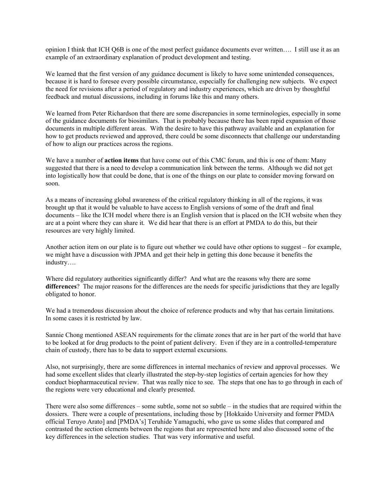opinion I think that ICH Q6B is one of the most perfect guidance documents ever written…. I still use it as an example of an extraordinary explanation of product development and testing.

We learned that the first version of any guidance document is likely to have some unintended consequences, because it is hard to foresee every possible circumstance, especially for challenging new subjects. We expect the need for revisions after a period of regulatory and industry experiences, which are driven by thoughtful feedback and mutual discussions, including in forums like this and many others.

We learned from Peter Richardson that there are some discrepancies in some terminologies, especially in some of the guidance documents for biosimilars. That is probably because there has been rapid expansion of those documents in multiple different areas. With the desire to have this pathway available and an explanation for how to get products reviewed and approved, there could be some disconnects that challenge our understanding of how to align our practices across the regions.

We have a number of **action items** that have come out of this CMC forum, and this is one of them: Many suggested that there is a need to develop a communication link between the terms. Although we did not get into logistically how that could be done, that is one of the things on our plate to consider moving forward on soon.

As a means of increasing global awareness of the critical regulatory thinking in all of the regions, it was brought up that it would be valuable to have access to English versions of some of the draft and final documents – like the ICH model where there is an English version that is placed on the ICH website when they are at a point where they can share it. We did hear that there is an effort at PMDA to do this, but their resources are very highly limited.

Another action item on our plate is to figure out whether we could have other options to suggest – for example, we might have a discussion with JPMA and get their help in getting this done because it benefits the industry….

Where did regulatory authorities significantly differ? And what are the reasons why there are some **differences**? The major reasons for the differences are the needs for specific jurisdictions that they are legally obligated to honor.

We had a tremendous discussion about the choice of reference products and why that has certain limitations. In some cases it is restricted by law.

Sannie Chong mentioned ASEAN requirements for the climate zones that are in her part of the world that have to be looked at for drug products to the point of patient delivery. Even if they are in a controlled-temperature chain of custody, there has to be data to support external excursions.

Also, not surprisingly, there are some differences in internal mechanics of review and approval processes. We had some excellent slides that clearly illustrated the step-by-step logistics of certain agencies for how they conduct biopharmaceutical review. That was really nice to see. The steps that one has to go through in each of the regions were very educational and clearly presented.

There were also some differences – some subtle, some not so subtle – in the studies that are required within the dossiers. There were a couple of presentations, including those by [Hokkaido University and former PMDA official Teruyo Arato] and [PMDA's] Teruhide Yamaguchi, who gave us some slides that compared and contrasted the section elements between the regions that are represented here and also discussed some of the key differences in the selection studies. That was very informative and useful.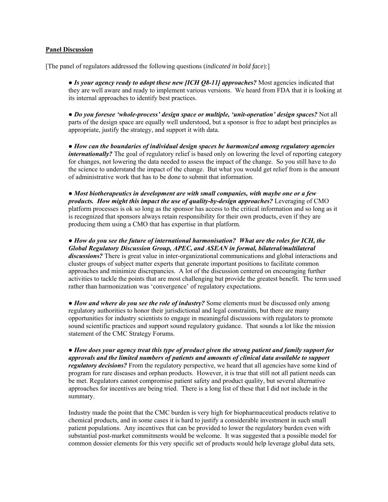#### **Panel Discussion**

[The panel of regulators addressed the following questions (*indicated in bold face*):]

• *Is your agency ready to adopt these new [ICH Q8-11] approaches?* Most agencies indicated that they are well aware and ready to implement various versions. We heard from FDA that it is looking at its internal approaches to identify best practices.

● *Do you foresee 'whole-process' design space or multiple, 'unit-operation' design spaces?* Not all parts of the design space are equally well understood, but a sponsor is free to adapt best principles as appropriate, justify the strategy, and support it with data.

● *How can the boundaries of individual design spaces be harmonized among regulatory agencies internationally?* The goal of regulatory relief is based only on lowering the level of reporting category for changes, not lowering the data needed to assess the impact of the change. So you still have to do the science to understand the impact of the change. But what you would get relief from is the amount of administrative work that has to be done to submit that information.

● *Most biotherapeutics in development are with small companies, with maybe one or a few products. How might this impact the use of quality-by-design approaches?* Leveraging of CMO platform processes is ok so long as the sponsor has access to the critical information and so long as it is recognized that sponsors always retain responsibility for their own products, even if they are producing them using a CMO that has expertise in that platform.

● *How do you see the future of international harmonisation? What are the roles for ICH, the Global Regulatory Discussion Group, APEC, and ASEAN in formal, bilateral/multilateral discussions?* There is great value in inter-organizational communications and global interactions and cluster groups of subject matter experts that generate important positions to facilitate common approaches and minimize discrepancies. A lot of the discussion centered on encouraging further activities to tackle the points that are most challenging but provide the greatest benefit. The term used rather than harmonization was 'convergence' of regulatory expectations.

● *How and where do you see the role of industry?* Some elements must be discussed only among regulatory authorities to honor their jurisdictional and legal constraints, but there are many opportunities for industry scientists to engage in meaningful discussions with regulators to promote sound scientific practices and support sound regulatory guidance. That sounds a lot like the mission statement of the CMC Strategy Forums.

● *How does your agency treat this type of product given the strong patient and family support for approvals and the limited numbers of patients and amounts of clinical data available to support regulatory decisions?* From the regulatory perspective, we heard that all agencies have some kind of program for rare diseases and orphan products. However, it is true that still not all patient needs can be met. Regulators cannot compromise patient safety and product quality, but several alternative approaches for incentives are being tried. There is a long list of these that I did not include in the summary.

Industry made the point that the CMC burden is very high for biopharmaceutical products relative to chemical products, and in some cases it is hard to justify a considerable investment in such small patient populations. Any incentives that can be provided to lower the regulatory burden even with substantial post-market commitments would be welcome. It was suggested that a possible model for common dossier elements for this very specific set of products would help leverage global data sets,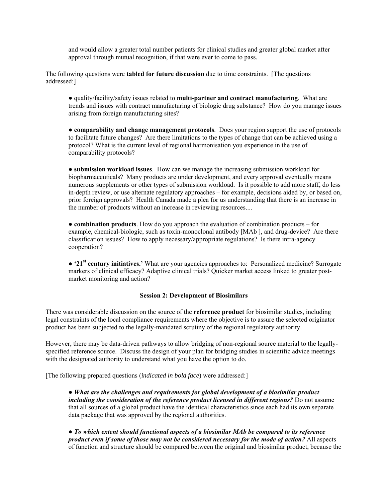and would allow a greater total number patients for clinical studies and greater global market after approval through mutual recognition, if that were ever to come to pass.

The following questions were **tabled for future discussion** due to time constraints. [The questions addressed:]

● quality/facility/safety issues related to **multi-partner and contract manufacturing**. What are trends and issues with contract manufacturing of biologic drug substance? How do you manage issues arising from foreign manufacturing sites?

● **comparability and change management protocols**. Does your region support the use of protocols to facilitate future changes? Are there limitations to the types of change that can be achieved using a protocol? What is the current level of regional harmonisation you experience in the use of comparability protocols?

● **submission workload issues**. How can we manage the increasing submission workload for biopharmaceuticals? Many products are under development, and every approval eventually means numerous supplements or other types of submission workload. Is it possible to add more staff, do less in-depth review, or use alternate regulatory approaches – for example, decisions aided by, or based on, prior foreign approvals? Health Canada made a plea for us understanding that there is an increase in the number of products without an increase in reviewing resources....

● **combination products**. How do you approach the evaluation of combination products – for example, chemical-biologic, such as toxin-monoclonal antibody [MAb ], and drug-device? Are there classification issues? How to apply necessary/appropriate regulations? Is there intra-agency cooperation?

● **'21st century initiatives.'** What are your agencies approaches to: Personalized medicine? Surrogate markers of clinical efficacy? Adaptive clinical trials? Quicker market access linked to greater postmarket monitoring and action?

#### **Session 2: Development of Biosimilars**

There was considerable discussion on the source of the **reference product** for biosimilar studies, including legal constraints of the local compliance requirements where the objective is to assure the selected originator product has been subjected to the legally-mandated scrutiny of the regional regulatory authority.

However, there may be data-driven pathways to allow bridging of non-regional source material to the legallyspecified reference source. Discuss the design of your plan for bridging studies in scientific advice meetings with the designated authority to understand what you have the option to do.

[The following prepared questions (*indicated in bold face*) were addressed:]

● *What are the challenges and requirements for global development of a biosimilar product including the consideration of the reference product licensed in different regions?* Do not assume that all sources of a global product have the identical characteristics since each had its own separate data package that was approved by the regional authorities.

● *To which extent should functional aspects of a biosimilar MAb be compared to its reference product even if some of those may not be considered necessary for the mode of action?* All aspects of function and structure should be compared between the original and biosimilar product, because the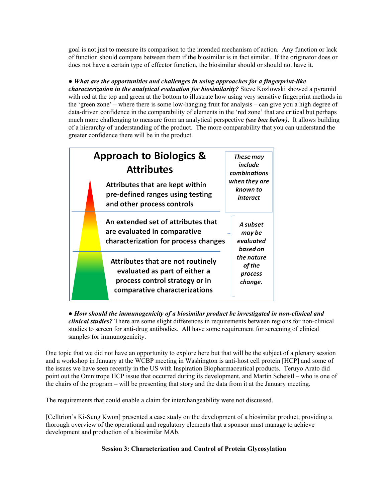goal is not just to measure its comparison to the intended mechanism of action. Any function or lack of function should compare between them if the biosimilar is in fact similar. If the originator does or does not have a certain type of effector function, the biosimilar should or should not have it.

# ● *What are the opportunities and challenges in using approaches for a fingerprint-like*

*characterization in the analytical evaluation for biosimilarity?* Steve Kozlowski showed a pyramid with red at the top and green at the bottom to illustrate how using very sensitive fingerprint methods in the 'green zone' – where there is some low-hanging fruit for analysis – can give you a high degree of data-driven confidence in the comparability of elements in the 'red zone' that are critical but perhaps much more challenging to measure from an analytical perspective *(see box below)*. It allows building of a hierarchy of understanding of the product. The more comparability that you can understand the greater confidence there will be in the product.



● *How should the immunogenicity of a biosimilar product be investigated in non-clinical and clinical studies?* There are some slight differences in requirements between regions for non-clinical studies to screen for anti-drug antibodies. All have some requirement for screening of clinical samples for immunogenicity.

One topic that we did not have an opportunity to explore here but that will be the subject of a plenary session and a workshop in January at the WCBP meeting in Washington is anti-host cell protein [HCP] and some of the issues we have seen recently in the US with Inspiration Biopharmaceutical products. Teruyo Arato did point out the Omnitrope HCP issue that occurred during its development, and Martin Scheistl – who is one of the chairs of the program – will be presenting that story and the data from it at the January meeting.

The requirements that could enable a claim for interchangeability were not discussed.

[Celltrion's Ki-Sung Kwon] presented a case study on the development of a biosimilar product, providing a thorough overview of the operational and regulatory elements that a sponsor must manage to achieve development and production of a biosimilar MAb.

# **Session 3: Characterization and Control of Protein Glycosylation**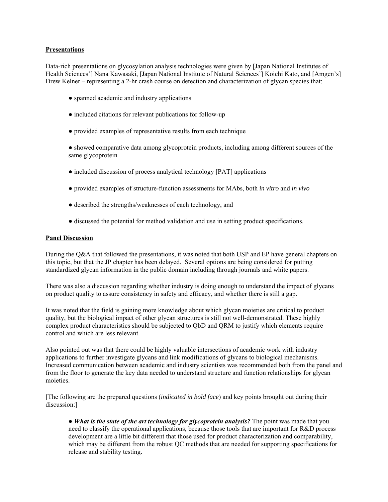#### **Presentations**

Data-rich presentations on glycosylation analysis technologies were given by [Japan National Institutes of Health Sciences'] Nana Kawasaki, [Japan National Institute of Natural Sciences'] Koichi Kato, and [Amgen's] Drew Kelner – representing a 2-hr crash course on detection and characterization of glycan species that:

- spanned academic and industry applications
- included citations for relevant publications for follow-up
- provided examples of representative results from each technique

● showed comparative data among glycoprotein products, including among different sources of the same glycoprotein

- included discussion of process analytical technology [PAT] applications
- provided examples of structure-function assessments for MAbs, both *in vitro* and *in vivo*
- described the strengths/weaknesses of each technology, and
- discussed the potential for method validation and use in setting product specifications.

#### **Panel Discussion**

During the Q&A that followed the presentations, it was noted that both USP and EP have general chapters on this topic, but that the JP chapter has been delayed. Several options are being considered for putting standardized glycan information in the public domain including through journals and white papers.

There was also a discussion regarding whether industry is doing enough to understand the impact of glycans on product quality to assure consistency in safety and efficacy, and whether there is still a gap.

It was noted that the field is gaining more knowledge about which glycan moieties are critical to product quality, but the biological impact of other glycan structures is still not well-demonstrated. These highly complex product characteristics should be subjected to QbD and QRM to justify which elements require control and which are less relevant.

Also pointed out was that there could be highly valuable intersections of academic work with industry applications to further investigate glycans and link modifications of glycans to biological mechanisms. Increased communication between academic and industry scientists was recommended both from the panel and from the floor to generate the key data needed to understand structure and function relationships for glycan moieties.

[The following are the prepared questions (*indicated in bold face*) and key points brought out during their discussion:]

• *What is the state of the art technology for glycoprotein analysis?* The point was made that you need to classify the operational applications, because those tools that are important for R&D process development are a little bit different that those used for product characterization and comparability, which may be different from the robust QC methods that are needed for supporting specifications for release and stability testing.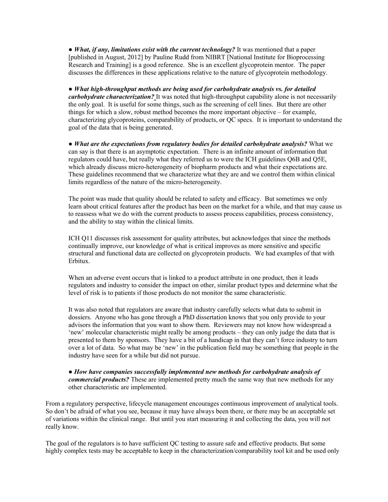• *What, if any, limitations exist with the current technology?* It was mentioned that a paper [published in August, 2012] by Pauline Rudd from NIBRT [National Institute for Bioprocessing Research and Training] is a good reference. She is an excellent glycoprotein mentor. The paper discusses the differences in these applications relative to the nature of glycoprotein methodology.

● *What high-throughput methods are being used for carbohydrate analysis vs. for detailed carbohydrate characterization?* It was noted that high-throughput capability alone is not necessarily the only goal. It is useful for some things, such as the screening of cell lines. But there are other things for which a slow, robust method becomes the more important objective – for example, characterizing glycoproteins, comparability of products, or QC specs. It is important to understand the goal of the data that is being generated.

● *What are the expectations from regulatory bodies for detailed carbohydrate analysis?* What we can say is that there is an asymptotic expectation. There is an infinite amount of information that regulators could have, but really what they referred us to were the ICH guidelines Q6B and Q5E, which already discuss micro-heterogeneity of biopharm products and what their expectations are. These guidelines recommend that we characterize what they are and we control them within clinical limits regardless of the nature of the micro-heterogeneity.

The point was made that quality should be related to safety and efficacy. But sometimes we only learn about critical features after the product has been on the market for a while, and that may cause us to reassess what we do with the current products to assess process capabilities, process consistency, and the ability to stay within the clinical limits.

ICH Q11 discusses risk assessment for quality attributes, but acknowledges that since the methods continually improve, our knowledge of what is critical improves as more sensitive and specific structural and functional data are collected on glycoprotein products. We had examples of that with Erbitux.

When an adverse event occurs that is linked to a product attribute in one product, then it leads regulators and industry to consider the impact on other, similar product types and determine what the level of risk is to patients if those products do not monitor the same characteristic.

It was also noted that regulators are aware that industry carefully selects what data to submit in dossiers. Anyone who has gone through a PhD dissertation knows that you only provide to your advisors the information that you want to show them. Reviewers may not know how widespread a 'new' molecular characteristic might really be among products – they can only judge the data that is presented to them by sponsors. They have a bit of a handicap in that they can't force industry to turn over a lot of data. So what may be 'new' in the publication field may be something that people in the industry have seen for a while but did not pursue.

● *How have companies successfully implemented new methods for carbohydrate analysis of commercial products?* These are implemented pretty much the same way that new methods for any other characteristic are implemented.

From a regulatory perspective, lifecycle management encourages continuous improvement of analytical tools. So don't be afraid of what you see, because it may have always been there, or there may be an acceptable set of variations within the clinical range. But until you start measuring it and collecting the data, you will not really know.

The goal of the regulators is to have sufficient QC testing to assure safe and effective products. But some highly complex tests may be acceptable to keep in the characterization/comparability tool kit and be used only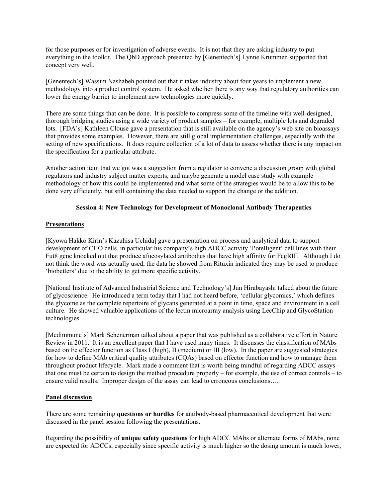for those purposes or for investigation of adverse events. It is not that they are asking industry to put everything in the toolkit. The QbD approach presented by [Genentech's] Lynne Krummen supported that concept very well.

[Genentech's] Wassim Nashabeh pointed out that it takes industry about four years to implement a new methodology into a product control system. He asked whether there is any way that regulatory authorities can lower the energy barrier to implement new technologies more quickly.

There are some things that can be done. It is possible to compress some of the timeline with well-designed, thorough bridging studies using a wide variety of product samples – for example, multiple lots and degraded lots. [FDA's] Kathleen Clouse gave a presentation that is still available on the agency's web site on bioassays that provides some examples. However, there are still global implementation challenges, especially with the setting of new specifications. It does require collection of a lot of data to assess whether there is any impact on the specification for a particular attribute.

Another action item that we got was a suggestion from a regulator to convene a discussion group with global regulators and industry subject matter experts, and maybe generate a model case study with example methodology of how this could be implemented and what some of the strategies would be to allow this to be done very efficiently, but still containing the data needed to support the change or the addition.

# **Session 4: New Technology for Development of Monoclonal Antibody Therapeutics**

#### **Presentations**

[Kyowa Hakko Kirin's Kazuhisa Uchida] gave a presentation on process and analytical data to support development of CHO cells, in particular his company's high ADCC activity 'Potelligent' cell lines with their Fut8 gene knocked out that produce afucosylated antibodies that have high affinity for FcgRIII. Although I do not think the word was actually used, the data he showed from Rituxin indicated they may be used to produce 'biobetters' due to the ability to get more specific activity.

[National Institute of Advanced Industrial Science and Technology's] Jun Hirabayashi talked about the future of glycoscience. He introduced a term today that I had not heard before, 'cellular glycomics,' which defines the glycome as the complete repertoire of glycans generated at a point in time, space and environment in a cell culture. He showed valuable applications of the lectin microarray analysis using LecChip and GlycoStation technologies.

[Medimmune's] Mark Schenerman talked about a paper that was published as a collaborative effort in Nature Review in 2011. It is an excellent paper that I have used many times. It discusses the classification of MAbs based on Fc effector function as Class I (high), II (medium) or III (low). In the paper are suggested strategies for how to define MAb critical quality attributes (CQAs) based on effector function and how to manage them throughout product lifecycle. Mark made a comment that is worth being mindful of regarding ADCC assays – that one must be certain to design the method procedure properly – for example, the use of correct controls – to ensure valid results. Improper design of the assay can lead to erroneous conclusions….

#### **Panel discussion**

There are some remaining **questions or hurdles** for antibody-based pharmaceutical development that were discussed in the panel session following the presentations.

Regarding the possibility of **unique safety questions** for high ADCC MAbs or alternate forms of MAbs, none are expected for ADCCs, especially since specific activity is much higher so the dosing amount is much lower,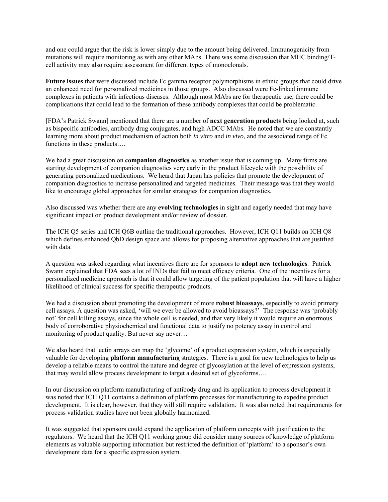and one could argue that the risk is lower simply due to the amount being delivered. Immunogenicity from mutations will require monitoring as with any other MAbs. There was some discussion that MHC binding/Tcell activity may also require assessment for different types of monoclonals.

**Future issues** that were discussed include Fc gamma receptor polymorphisms in ethnic groups that could drive an enhanced need for personalized medicines in those groups. Also discussed were Fc-linked immune complexes in patients with infectious diseases. Although most MAbs are for therapeutic use, there could be complications that could lead to the formation of these antibody complexes that could be problematic.

[FDA's Patrick Swann] mentioned that there are a number of **next generation products** being looked at, such as bispecific antibodies, antibody drug conjugates, and high ADCC MAbs. He noted that we are constantly learning more about product mechanism of action both *in vitro* and *in vivo*, and the associated range of Fc functions in these products….

We had a great discussion on **companion diagnostics** as another issue that is coming up. Many firms are starting development of companion diagnostics very early in the product lifecycle with the possibility of generating personalized medications. We heard that Japan has policies that promote the development of companion diagnostics to increase personalized and targeted medicines. Their message was that they would like to encourage global approaches for similar strategies for companion diagnostics.

Also discussed was whether there are any **evolving technologies** in sight and eagerly needed that may have significant impact on product development and/or review of dossier.

The ICH Q5 series and ICH Q6B outline the traditional approaches. However, ICH Q11 builds on ICH Q8 which defines enhanced QbD design space and allows for proposing alternative approaches that are justified with data.

A question was asked regarding what incentives there are for sponsors to **adopt new technologies**. Patrick Swann explained that FDA sees a lot of INDs that fail to meet efficacy criteria. One of the incentives for a personalized medicine approach is that it could allow targeting of the patient population that will have a higher likelihood of clinical success for specific therapeutic products.

We had a discussion about promoting the development of more **robust bioassays**, especially to avoid primary cell assays. A question was asked, 'will we ever be allowed to avoid bioassays?' The response was 'probably not' for cell killing assays, since the whole cell is needed, and that very likely it would require an enormous body of corroborative physiochemical and functional data to justify no potency assay in control and monitoring of product quality. But never say never…

We also heard that lectin arrays can map the 'glycome' of a product expression system, which is especially valuable for developing **platform manufacturing** strategies. There is a goal for new technologies to help us develop a reliable means to control the nature and degree of glycosylation at the level of expression systems, that may would allow process development to target a desired set of glycoforms….

In our discussion on platform manufacturing of antibody drug and its application to process development it was noted that ICH Q11 contains a definition of platform processes for manufacturing to expedite product development. It is clear, however, that they will still require validation. It was also noted that requirements for process validation studies have not been globally harmonized.

It was suggested that sponsors could expand the application of platform concepts with justification to the regulators. We heard that the ICH Q11 working group did consider many sources of knowledge of platform elements as valuable supporting information but restricted the definition of 'platform' to a sponsor's own development data for a specific expression system.